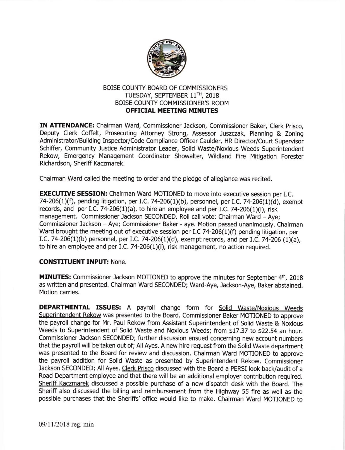

## BOISE COUNTY BOARD OF COMMISSIONERS TUESDAY, SEPTEMBER 11TH, 2018 BOISE COUNTY COMMISSIONER'S ROOM OFFICIAL MEETING MINUTES

IN ATTENDANCE: Chairman Ward, Commissioner Jackson, Commissioner Baker, Clerk Prisco, Deputy Clerk Coffelt, Prosecuting Attorney Strong, Assessor Juszczak, Planning & Zoning Administrator/Building Inspector/Code Compliance Officer Caulder, HR Director/Court Supervisor Schiffer, Community Justice Administrator Leader, Solid Waste/Noxious Weeds Superintendent Rekow, Emergency Management Coordinator Showalter, Wildland Fire Mitigation Forester Richardson, Sheriff Kaczmarek.

Chairman Ward called the meeting to order and the pledge of allegiance was recited.

**EXECUTIVE SESSION:** Chairman Ward MOTIONED to move into executive session per I.C. 74-206(1)(f), pending litigation, per I.C. 74-206(1)(b), personnel, per I.C. 74-206(1)(d), exempt records, and per I.C. 74-206(1)(a), to hire an employee and per I.C. 74-206(1)(i), risk management. Commissioner Jackson SECONDED. Roll call vote: Chairman Ward - Aye; Commissioner Jackson - Aye; Commissioner Baker - aye. Motion passed unanimously. Chairman Ward brought the meeting out of executive session per I.C 74-206(1)(f) pending litigation, per I.C. 74-206(1)(b) personnel, per l.C.74-206(1)(d), exempt records, and per I.C. 74-206 (1)(a), to hire an employee and per I.C. 74-206 $(1)(i)$ , risk management, no action required.

## **CONSTITUENT INPUT: None.**

MINUTES: Commissioner Jackson MOTIONED to approve the minutes for September 4<sup>th</sup>, 2018 as written and presented. Chairman Ward SECONDED; Ward-Aye, Jackson-Aye, Baker abstained. Motion carries.

DEPARTMENTAL ISSUES: A payroll change form for Solid Waste/Noxious Weeds Superintendent Rekow was presented to the Board. Commissioner Baker MOTIONED to approve the payroll change for Mr. Paul Rekow from Assistant Superintendent of Solid Waste & Noxious Weeds to Superintendent of Solid Waste and Noxious Weeds; from \$17.37 to \$22.54 an hour. Commissioner Jackson SECONDED; further discussion ensued concerning new account numbers that the payroll will be taken out of; All Ayes. A new hire request from the Solid Waste department was presented to the Board for review and discussion. Chairman Ward MOTIONED to approve the payroll addition for Solid Waste as presented by Superintendent Rekow. Commissioner Jackson SECONDED; All Ayes. Clerk Prisco discussed with the Board a PERSI look back/audit of a Road Department employee and that there will be an additional employer contribution required. Sheriff Kaczmarek discussed a possible purchase of a new dispatch desk with the Board. The Sheriff also discussed the billing and reimbursement from the Highway 55 fire as well as the possible purchases that the Sheriffs' office would like to make. Chairman Ward MOTIONED to